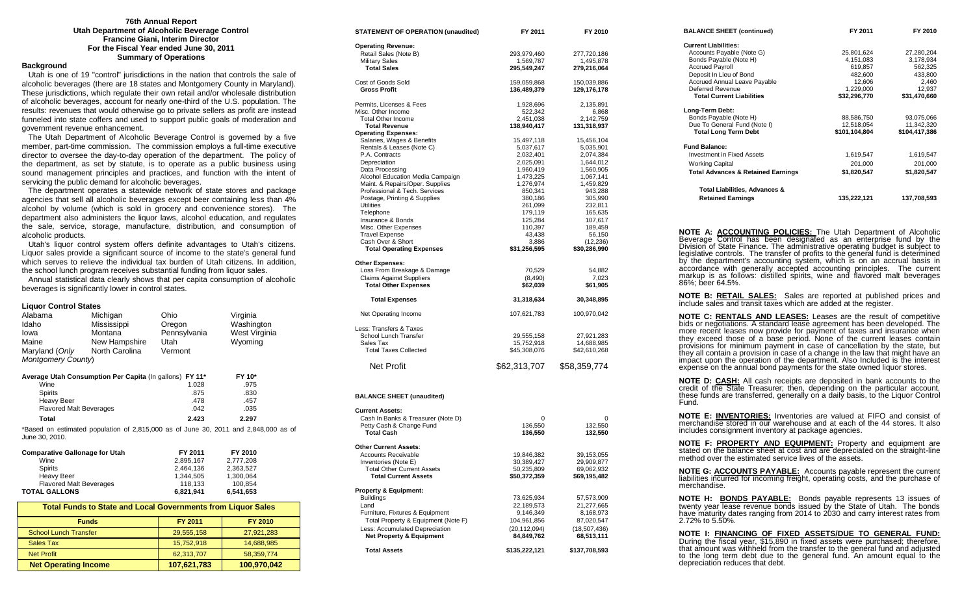### **76th Annual Report Utah Department of Alcoholic Beverage Control Francine Giani, Interim Director For the Fiscal Year ended June 30, 2011 Summary of Operations**

### **Background**

 Utah is one of 19 "control" jurisdictions in the nation that controls the sale of alcoholic beverages (there are 18 states and Montgomery County in Maryland). These jurisdictions, which regulate their own retail and/or wholesale distribution of alcoholic beverages, account for nearly one-third of the U.S. population. The results: revenues that would otherwise go to private sellers as profit are instead funneled into state coffers and used to support public goals of moderation and government revenue enhancement.

 The Utah Department of Alcoholic Beverage Control is governed by a five member, part-time commission. The commission employs a full-time executive director to oversee the day-to-day operation of the department. The policy of the department, as set by statute, is to operate as a public business using sound management principles and practices, and function with the intent of servicing the public demand for alcoholic beverages.

 The department operates a statewide network of state stores and package agencies that sell all alcoholic beverages except beer containing less than 4% alcohol by volume (which is sold in grocery and convenience stores). The department also administers the liquor laws, alcohol education, and regulates the sale, service, storage, manufacture, distribution, and consumption of alcoholic products.

 Utah's liquor control system offers definite advantages to Utah's citizens. Liquor sales provide a significant source of income to the state's general fund which serves to relieve the individual tax burden of Utah citizens. In addition, the school lunch program receives substantial funding from liquor sales.

 Annual statistical data clearly shows that per capita consumption of alcoholic beverages is significantly lower in control states.

#### **Liquor Control States**

| Alabama                                                             | Michigan                                                                                | Ohio         | Virginia      |  |  |  |
|---------------------------------------------------------------------|-----------------------------------------------------------------------------------------|--------------|---------------|--|--|--|
| Idaho                                                               | Mississippi                                                                             | Oregon       | Washington    |  |  |  |
| lowa                                                                | Montana                                                                                 | Pennsylvania | West Virginia |  |  |  |
| Maine                                                               | New Hampshire                                                                           | Utah         | Wyoming       |  |  |  |
| Maryland (Only                                                      | North Carolina                                                                          | Vermont      |               |  |  |  |
| Montgomery County)                                                  |                                                                                         |              |               |  |  |  |
|                                                                     | Average Utah Consumption Per Capita (In gallons) FY 11*                                 |              | FY 10*        |  |  |  |
| Wine                                                                |                                                                                         | 1.028        | .975          |  |  |  |
| <b>Spirits</b>                                                      |                                                                                         | .875         | .830          |  |  |  |
| <b>Heavy Beer</b>                                                   |                                                                                         | .478         | .457          |  |  |  |
| <b>Flavored Malt Beverages</b>                                      |                                                                                         | .042         | .035          |  |  |  |
| Total                                                               |                                                                                         | 2.423        | 2.297         |  |  |  |
| June 30, 2010.                                                      | *Based on estimated population of $2,815,000$ as of June 30, 2011 and $2,848,000$ as of |              |               |  |  |  |
| <b>Comparative Gallonage for Utah</b>                               |                                                                                         | FY 2011      | FY 2010       |  |  |  |
| Wine                                                                |                                                                                         | 2,895,167    | 2,777,208     |  |  |  |
| <b>Spirits</b>                                                      |                                                                                         | 2,464,136    | 2,363,527     |  |  |  |
| <b>Heavy Beer</b>                                                   |                                                                                         | 1,344,505    | 1,300,064     |  |  |  |
| <b>Flavored Malt Beverages</b>                                      |                                                                                         | 118,133      | 100,854       |  |  |  |
| <b>TOTAL GALLONS</b>                                                |                                                                                         | 6,821,941    | 6,541,653     |  |  |  |
| <b>Total Funds to State and Local Governments from Liquor Sales</b> |                                                                                         |              |               |  |  |  |
| <b>Funds</b>                                                        |                                                                                         | FY 2011      | FY 2010       |  |  |  |

| <b>Funds</b>                 | <b>FY 2011</b> | FY 2010     |
|------------------------------|----------------|-------------|
| <b>School Lunch Transfer</b> | 29,555,158     | 27,921,283  |
| Sales Tax                    | 15,752,918     | 14,688,985  |
| <b>Net Profit</b>            | 62,313,707     | 58,359,774  |
| <b>Net Operating Income</b>  | 107,621,783    | 100,970,042 |

| <b>STATEMENT OF OPERATION (unaudited)</b>                             | FY 2011                      | FY 2010                      |
|-----------------------------------------------------------------------|------------------------------|------------------------------|
| <b>Operating Revenue:</b>                                             |                              |                              |
| Retail Sales (Note B)                                                 | 293,979,460                  | 277,720,186                  |
| <b>Military Sales</b>                                                 | 1,569,787                    | 1,495,878                    |
| <b>Total Sales</b>                                                    | 295,549,247                  | 279,216,064                  |
| Cost of Goods Sold                                                    | 159,059,868                  | 150,039,886                  |
| <b>Gross Profit</b>                                                   | 136,489,379                  | 129,176,178                  |
| Permits, Licenses & Fees                                              | 1,928,696                    | 2,135,891                    |
| Misc. Other Income                                                    | 522,342                      | 6,868                        |
| <b>Total Other Income</b>                                             | 2,451,038                    | 2,142,759                    |
| <b>Total Revenue</b>                                                  | 138,940,417                  | 131,318,937                  |
| <b>Operating Expenses:</b><br>Salaries, Wages & Benefits              | 15,497,118                   | 15,456,104                   |
| Rentals & Leases (Note C)                                             | 5,037,617                    | 5,035,901                    |
| P.A. Contracts                                                        | 2,032,401                    | 2,074,384                    |
| Depreciation                                                          | 2,025,091                    | 1,644,012                    |
| Data Processing                                                       | 1,960,419                    | 1,560,905                    |
| Alcohol Education Media Campaign                                      | 1,473,225                    | 1,067,141                    |
| Maint. & Repairs/Oper. Supplies<br>Professional & Tech. Services      | 1,276,974                    | 1,459,829                    |
| Postage, Printing & Supplies                                          | 850,341<br>380,186           | 943,288<br>305,990           |
| Utilities                                                             | 261,099                      | 232,811                      |
| Telephone                                                             | 179,119                      | 165,635                      |
| Insurance & Bonds                                                     | 125,284                      | 107,617                      |
| Misc. Other Expenses                                                  | 110,397                      | 189,459                      |
| <b>Travel Expense</b>                                                 | 43,438                       | 56,150                       |
| Cash Over & Short<br><b>Total Operating Expenses</b>                  | 3,886<br>\$31,256,595        | (12, 236)<br>\$30,286,990    |
|                                                                       |                              |                              |
| <b>Other Expenses:</b>                                                |                              |                              |
| Loss From Breakage & Damage                                           | 70,529                       | 54,882                       |
| Claims Against Suppliers<br><b>Total Other Expenses</b>               | (8, 490)<br>\$62,039         | 7,023<br>\$61,905            |
|                                                                       |                              |                              |
| <b>Total Expenses</b>                                                 | 31,318,634                   | 30,348,895                   |
| Net Operating Income                                                  | 107,621,783                  | 100,970,042                  |
| Less: Transfers & Taxes                                               |                              |                              |
| School Lunch Transfer                                                 | 29,555,158                   | 27,921,283                   |
| Sales Tax                                                             | 15,752,918                   | 14,688,985                   |
| <b>Total Taxes Collected</b>                                          | \$45,308,076                 | \$42,610,268                 |
| <b>Net Profit</b>                                                     | \$62,313,707                 | \$58,359,774                 |
| <b>BALANCE SHEET (unaudited)</b>                                      |                              |                              |
| <b>Current Assets:</b>                                                |                              |                              |
| Cash In Banks & Treasurer (Note D)                                    | 0                            | 0                            |
| Petty Cash & Change Fund                                              | 136,550                      | 132,550                      |
| <b>Total Cash</b>                                                     | 136,550                      | 132,550                      |
| <b>Other Current Assets:</b>                                          |                              |                              |
| <b>Accounts Receivable</b>                                            | 19,846,382                   | 39,153,055                   |
| Inventories (Note E)                                                  | 30,389,427                   | 29,909,877                   |
| <b>Total Other Current Assets</b>                                     | 50,235,809                   | 69,062,932                   |
| <b>Total Current Assets</b>                                           | \$50,372,359                 | \$69,195,482                 |
| <b>Property &amp; Equipment:</b>                                      |                              |                              |
| <b>Buildings</b>                                                      | 73,625,934                   | 57,573,909                   |
| Land                                                                  | 22,189,573                   | 21,277,665                   |
| Furniture, Fixtures & Equipment                                       | 9,146,349                    | 8,168,973                    |
| Total Property & Equipment (Note F)                                   | 104,961,856                  | 87,020,547                   |
| Less: Accumulated Depreciation<br><b>Net Property &amp; Equipment</b> | (20, 112, 094)<br>84,849,762 | (18, 507, 436)<br>68,513,111 |
| <b>Total Assets</b>                                                   | \$135,222,121                | \$137,708,593                |
|                                                                       |                              |                              |
|                                                                       |                              |                              |

| <b>BALANCE SHEET (continued)</b>                                                                                                                                                                                                                                                                                                                                                                                                                                                                                                                                                                                              | FY 2011 <b>Example 2014</b>                                                                                                                                          | FY 2010                 |
|-------------------------------------------------------------------------------------------------------------------------------------------------------------------------------------------------------------------------------------------------------------------------------------------------------------------------------------------------------------------------------------------------------------------------------------------------------------------------------------------------------------------------------------------------------------------------------------------------------------------------------|----------------------------------------------------------------------------------------------------------------------------------------------------------------------|-------------------------|
| <b>Current Liabilities:</b>                                                                                                                                                                                                                                                                                                                                                                                                                                                                                                                                                                                                   |                                                                                                                                                                      |                         |
| Accounts Payable (Note G)                                                                                                                                                                                                                                                                                                                                                                                                                                                                                                                                                                                                     | 25,801,624                                                                                                                                                           | 27,280,204              |
| Bonds Payable (Note H)                                                                                                                                                                                                                                                                                                                                                                                                                                                                                                                                                                                                        | 25,801,624<br>4,151,083                                                                                                                                              | 3,178,934               |
| <b>Accrued Payroll</b>                                                                                                                                                                                                                                                                                                                                                                                                                                                                                                                                                                                                        | 619,857                                                                                                                                                              | 562,325<br>433,800      |
| Deposit In Lieu of Bond                                                                                                                                                                                                                                                                                                                                                                                                                                                                                                                                                                                                       |                                                                                                                                                                      |                         |
| Accrued Annual Leave Payable                                                                                                                                                                                                                                                                                                                                                                                                                                                                                                                                                                                                  |                                                                                                                                                                      |                         |
| Deferred Revenue                                                                                                                                                                                                                                                                                                                                                                                                                                                                                                                                                                                                              | $619,857$<br>$482,600$<br>$12,606$<br>$1,229,000$<br>$532,296,770$<br>$531,470,660$                                                                                  |                         |
| <b>Total Current Liabilities</b>                                                                                                                                                                                                                                                                                                                                                                                                                                                                                                                                                                                              |                                                                                                                                                                      |                         |
| Long-Term Debt:                                                                                                                                                                                                                                                                                                                                                                                                                                                                                                                                                                                                               |                                                                                                                                                                      |                         |
| Bonds Payable (Note H)                                                                                                                                                                                                                                                                                                                                                                                                                                                                                                                                                                                                        |                                                                                                                                                                      |                         |
| Due To General Fund (Note I)                                                                                                                                                                                                                                                                                                                                                                                                                                                                                                                                                                                                  | $\begin{array}{c} 88,586,750 \\ 12,518,054 \\ \textbf{101,104,804} \end{array} \qquad \begin{array}{c} 93,075,066 \\ 11,342,320 \\ \textbf{104,417,386} \end{array}$ |                         |
| <b>Total Long Term Debt</b>                                                                                                                                                                                                                                                                                                                                                                                                                                                                                                                                                                                                   |                                                                                                                                                                      |                         |
| <b>Fund Balance:</b>                                                                                                                                                                                                                                                                                                                                                                                                                                                                                                                                                                                                          |                                                                                                                                                                      |                         |
| Investment in Fixed Assets                                                                                                                                                                                                                                                                                                                                                                                                                                                                                                                                                                                                    | 1,619,547                                                                                                                                                            | 1,619,547               |
| <b>Working Capital</b>                                                                                                                                                                                                                                                                                                                                                                                                                                                                                                                                                                                                        |                                                                                                                                                                      | 201,000                 |
| <b>Total Advances &amp; Retained Earnings</b>                                                                                                                                                                                                                                                                                                                                                                                                                                                                                                                                                                                 | 201,000<br><b>\$1,820,547</b>                                                                                                                                        | \$1,820,547             |
|                                                                                                                                                                                                                                                                                                                                                                                                                                                                                                                                                                                                                               |                                                                                                                                                                      |                         |
| Total Liabilities, Advances &<br><b>Retained Earnings</b>                                                                                                                                                                                                                                                                                                                                                                                                                                                                                                                                                                     |                                                                                                                                                                      | 135,222,121 137,708,593 |
|                                                                                                                                                                                                                                                                                                                                                                                                                                                                                                                                                                                                                               |                                                                                                                                                                      |                         |
| accordance with generally accepted accounting principles. The current<br>markup is as follows: distilled spirits, wine and flavored malt beverages<br>86%; beer 64.5%.                                                                                                                                                                                                                                                                                                                                                                                                                                                        |                                                                                                                                                                      |                         |
| <b>NOTE B: RETAIL SALES:</b> Sales are reported at published prices and<br>include sales and transit taxes which are added at the register.                                                                                                                                                                                                                                                                                                                                                                                                                                                                                   |                                                                                                                                                                      |                         |
| <b>NOTE C: RENTALS AND LEASES:</b> Leases are the result of competitive<br>bids or negotiations. A standard lease agreement has been developed. The<br>more recent leases now provide for payment of taxes and insurance when<br>they exceed those of a base period. None of the current leases contain<br>provisions for minimum payment in case of cancellation by the state, but<br>they all contain a provision in case of a change in the law that might have an<br>impact upon the operation of the department. Also Included is the interest<br>expense on the annual bond payments for the state owned liquor stores. |                                                                                                                                                                      |                         |
| <b>NOTE D: CASH:</b> All cash receipts are deposited in bank accounts to the<br>credit of the State Treasurer; then, depending on the particular account,<br>these funds are transferred, generally on a daily basis, to the Liquor Control<br>Fund.                                                                                                                                                                                                                                                                                                                                                                          |                                                                                                                                                                      |                         |
| <b>NOTE E: INVENTORIES:</b> Inventories are valued at FIFO and consist of<br>merchandise stored in our warehouse and at each of the 44 stores. It also<br>includes consignment inventory at package agencies.                                                                                                                                                                                                                                                                                                                                                                                                                 |                                                                                                                                                                      |                         |
| NOTE F: PROPERTY AND EQUIPMENT: Property and equipment are<br>stated on the balance sheet at cost and are depreciated on the straight-line<br>method over the estimated service lives of the assets.                                                                                                                                                                                                                                                                                                                                                                                                                          |                                                                                                                                                                      |                         |
| <b>NOTE G: ACCOUNTS PAYABLE:</b> Accounts payable represent the current liabilities incurred for incoming freight, operating costs, and the purchase of<br>merchandise.                                                                                                                                                                                                                                                                                                                                                                                                                                                       |                                                                                                                                                                      |                         |
| <b>NOTE H: BONDS PAYABLE:</b> Bonds payable represents 13 issues of<br>twenty year lease revenue bonds issued by the State of Utah. The bonds<br>have maturity dates ranging from 2014 to 2030 and carry interest rates from<br>2.72% to 5.50%.                                                                                                                                                                                                                                                                                                                                                                               |                                                                                                                                                                      |                         |

**NOTE I: FINANCING OF FIXED ASSETS/DUE TO GENERAL FUND:** During the fiscal year, \$15,890 in fixed assets were purchased; therefore, that amount was withheld from the transfer to the general fund and adjusted to the long term debt due to the general fund. An amount equal to the depreciation reduces that debt.